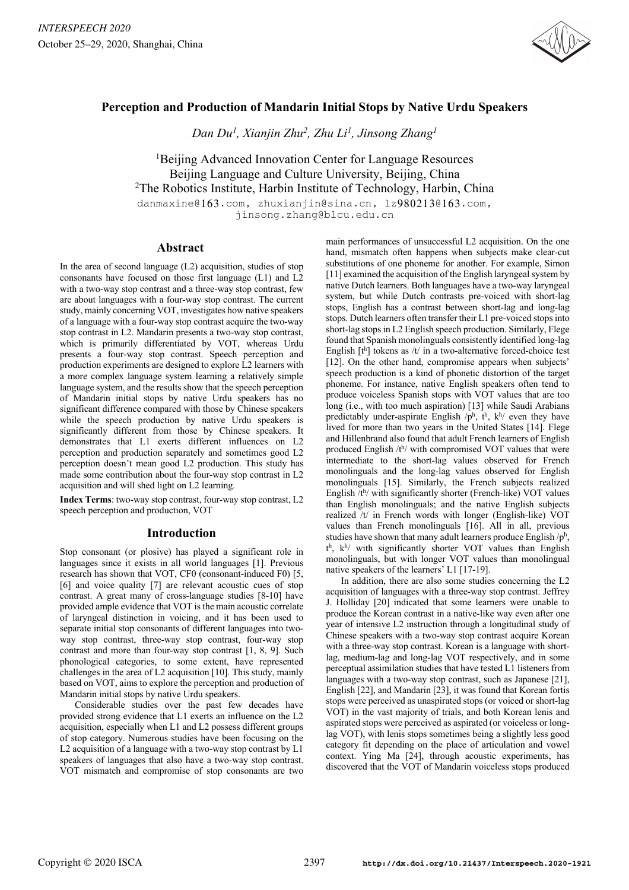

# **Perception and Production of Mandarin Initial Stops by Native Urdu Speakers**

*Dan Du1 , Xianjin Zhu2 , Zhu Li1 , Jinsong Zhang1*

<sup>1</sup>Beijing Advanced Innovation Center for Language Resources Beijing Language and Culture University, Beijing, China <sup>2</sup>The Robotics Institute, Harbin Institute of Technology, Harbin, China

danmaxine@163.com, zhuxianjin@sina.cn, lz980213@163.com, jinsong.zhang@blcu.edu.cn

## **Abstract**

In the area of second language (L2) acquisition, studies of stop consonants have focused on those first language (L1) and L2 with a two-way stop contrast and a three-way stop contrast, few are about languages with a four-way stop contrast. The current study, mainly concerning VOT, investigates how native speakers of a language with a four-way stop contrast acquire the two-way stop contrast in L2. Mandarin presents a two-way stop contrast, which is primarily differentiated by VOT, whereas Urdu presents a four-way stop contrast. Speech perception and production experiments are designed to explore L2 learners with a more complex language system learning a relatively simple language system, and the results show that the speech perception of Mandarin initial stops by native Urdu speakers has no significant difference compared with those by Chinese speakers while the speech production by native Urdu speakers is significantly different from those by Chinese speakers. It demonstrates that L1 exerts different influences on L2 perception and production separately and sometimes good L2 perception doesn't mean good L2 production. This study has made some contribution about the four-way stop contrast in L2 acquisition and will shed light on L2 learning.

**Index Terms**: two-way stop contrast, four-way stop contrast, L2 speech perception and production, VOT

## **Introduction**

Stop consonant (or plosive) has played a significant role in languages since it exists in all world languages [1]. Previous research has shown that VOT, CF0 (consonant-induced F0) [5, [6] and voice quality [7] are relevant acoustic cues of stop contrast. A great many of cross-language studies [8-10] have provided ample evidence that VOT is the main acoustic correlate of laryngeal distinction in voicing, and it has been used to separate initial stop consonants of different languages into twoway stop contrast, three-way stop contrast, four-way stop contrast and more than four-way stop contrast [1, 8, 9]. Such phonological categories, to some extent, have represented challenges in the area of L2 acquisition [10]. This study, mainly based on VOT, aims to explore the perception and production of Mandarin initial stops by native Urdu speakers.

Considerable studies over the past few decades have provided strong evidence that L1 exerts an influence on the L2 acquisition, especially when L1 and L2 possess different groups of stop category. Numerous studies have been focusing on the L2 acquisition of a language with a two-way stop contrast by L1 speakers of languages that also have a two-way stop contrast. VOT mismatch and compromise of stop consonants are two

main performances of unsuccessful L2 acquisition. On the one hand, mismatch often happens when subjects make clear-cut substitutions of one phoneme for another. For example, Simon [11] examined the acquisition of the English laryngeal system by native Dutch learners. Both languages have a two-way laryngeal system, but while Dutch contrasts pre-voiced with short-lag stops, English has a contrast between short-lag and long-lag stops. Dutch learners often transfer their L1 pre-voiced stops into short-lag stops in L2 English speech production. Similarly, Flege found that Spanish monolinguals consistently identified long-lag English  $[t^h]$  tokens as /t/ in a two-alternative forced-choice test [12]. On the other hand, compromise appears when subjects' speech production is a kind of phonetic distortion of the target phoneme. For instance, native English speakers often tend to produce voiceless Spanish stops with VOT values that are too long (i.e., with too much aspiration) [13] while Saudi Arabians predictably under-aspirate English  $/p^h$ ,  $t^h$ ,  $k^h$ / even they have lived for more than two years in the United States [14]. Flege and Hillenbrand also found that adult French learners of English produced English  $/t<sup>h</sup>/$  with compromised VOT values that were intermediate to the short-lag values observed for French monolinguals and the long-lag values observed for English monolinguals [15]. Similarly, the French subjects realized English /th/ with significantly shorter (French-like) VOT values than English monolinguals; and the native English subjects realized /t/ in French words with longer (English-like) VOT values than French monolinguals [16]. All in all, previous studies have shown that many adult learners produce English  $/p<sup>h</sup>$ , th, kh/ with significantly shorter VOT values than English monolinguals, but with longer VOT values than monolingual native speakers of the learners' L1 [17-19].

In addition, there are also some studies concerning the L2 acquisition of languages with a three-way stop contrast. Jeffrey J. Holliday [20] indicated that some learners were unable to produce the Korean contrast in a native-like way even after one year of intensive L2 instruction through a longitudinal study of Chinese speakers with a two-way stop contrast acquire Korean with a three-way stop contrast. Korean is a language with shortlag, medium-lag and long-lag VOT respectively, and in some perceptual assimilation studies that have tested L1 listeners from languages with a two-way stop contrast, such as Japanese [21], English [22], and Mandarin [23], it was found that Korean fortis stops were perceived as unaspirated stops (or voiced or short-lag VOT) in the vast majority of trials, and both Korean lenis and aspirated stops were perceived as aspirated (or voiceless or longlag VOT), with lenis stops sometimes being a slightly less good category fit depending on the place of articulation and vowel context. Ying Ma [24], through acoustic experiments, has discovered that the VOT of Mandarin voiceless stops produced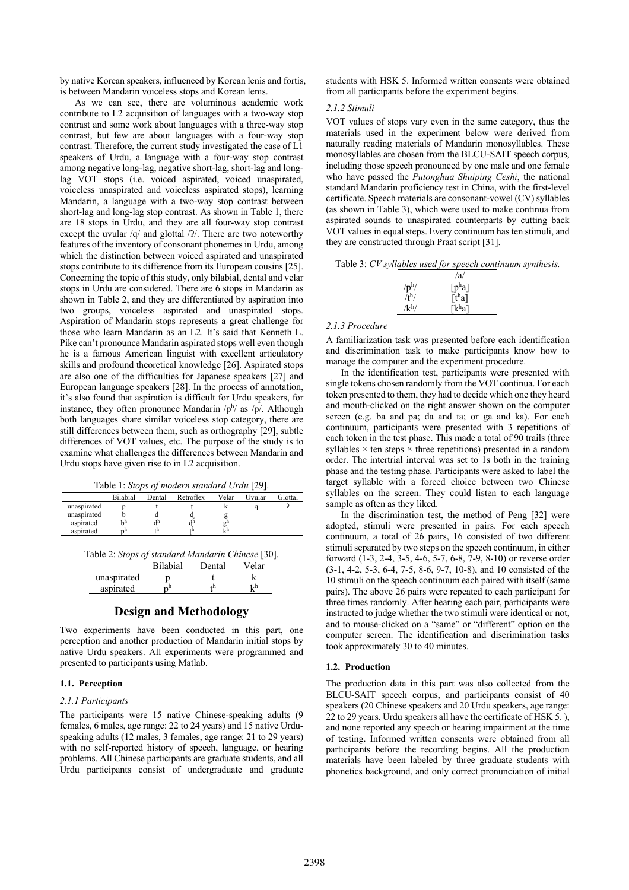by native Korean speakers, influenced by Korean lenis and fortis, is between Mandarin voiceless stops and Korean lenis.

As we can see, there are voluminous academic work contribute to L2 acquisition of languages with a two-way stop contrast and some work about languages with a three-way stop contrast, but few are about languages with a four-way stop contrast. Therefore, the current study investigated the case of L1 speakers of Urdu, a language with a four-way stop contrast among negative long-lag, negative short-lag, short-lag and longlag VOT stops (i.e. voiced aspirated, voiced unaspirated, voiceless unaspirated and voiceless aspirated stops), learning Mandarin, a language with a two-way stop contrast between short-lag and long-lag stop contrast. As shown in Table 1, there are 18 stops in Urdu, and they are all four-way stop contrast except the uvular  $/q$  and glottal  $/2$ . There are two noteworthy features of the inventory of consonant phonemes in Urdu, among which the distinction between voiced aspirated and unaspirated stops contribute to its difference from its European cousins [25]. Concerning the topic of this study, only bilabial, dental and velar stops in Urdu are considered. There are 6 stops in Mandarin as shown in Table 2, and they are differentiated by aspiration into two groups, voiceless aspirated and unaspirated stops. Aspiration of Mandarin stops represents a great challenge for those who learn Mandarin as an L2. It's said that Kenneth L. Pike can't pronounce Mandarin aspirated stops well even though he is a famous American linguist with excellent articulatory skills and profound theoretical knowledge [26]. Aspirated stops are also one of the difficulties for Japanese speakers [27] and European language speakers [28]. In the process of annotation, it's also found that aspiration is difficult for Urdu speakers, for instance, they often pronounce Mandarin  $/p^h$ / as  $/p$ /. Although both languages share similar voiceless stop category, there are still differences between them, such as orthography [29], subtle differences of VOT values, etc. The purpose of the study is to examine what challenges the differences between Mandarin and Urdu stops have given rise to in L2 acquisition.

Table 1: *Stops of modern standard Urdu* [29].

|             | <b>Bilabial</b> | Dental      | Retroflex | Velar | Uvular | Glottal |
|-------------|-----------------|-------------|-----------|-------|--------|---------|
| unaspirated |                 |             |           |       |        |         |
| unaspirated |                 |             |           |       |        |         |
| aspirated   | hh              | $d^{\rm b}$ |           |       |        |         |
| aspirated   |                 | +h          |           | k'n   |        |         |
|             |                 |             |           |       |        |         |

| Table 2: Stops of standard Mandarin Chinese [30]. |  |  |
|---------------------------------------------------|--|--|
|---------------------------------------------------|--|--|

|             | <b>Bilabial</b> | Dental | Velar |
|-------------|-----------------|--------|-------|
| unaspirated |                 |        |       |
| aspirated   |                 |        | رابر  |
|             |                 |        |       |

## **Design and Methodology**

Two experiments have been conducted in this part, one perception and another production of Mandarin initial stops by native Urdu speakers. All experiments were programmed and presented to participants using Matlab.

#### **1.1. Perception**

### *2.1.1 Participants*

The participants were 15 native Chinese-speaking adults (9 females, 6 males, age range: 22 to 24 years) and 15 native Urduspeaking adults (12 males, 3 females, age range: 21 to 29 years) with no self-reported history of speech, language, or hearing problems. All Chinese participants are graduate students, and all Urdu participants consist of undergraduate and graduate students with HSK 5. Informed written consents were obtained from all participants before the experiment begins.

#### *2.1.2 Stimuli*

VOT values of stops vary even in the same category, thus the materials used in the experiment below were derived from naturally reading materials of Mandarin monosyllables. These monosyllables are chosen from the BLCU-SAIT speech corpus, including those speech pronounced by one male and one female who have passed the *Putonghua Shuiping Ceshi*, the national standard Mandarin proficiency test in China, with the first-level certificate. Speech materials are consonant-vowel (CV) syllables (as shown in Table 3), which were used to make continua from aspirated sounds to unaspirated counterparts by cutting back VOT values in equal steps. Every continuum has ten stimuli, and they are constructed through Praat script [31].

|  |  |  | Table 3: CV syllables used for speech continuum synthesis. |  |
|--|--|--|------------------------------------------------------------|--|
|  |  |  |                                                            |  |

|                   | /a/                   |
|-------------------|-----------------------|
| $/p^h/$           | $\lceil p^h a \rceil$ |
| /t <sup>h</sup> / | $\lceil t^h a \rceil$ |
| /k <sup>h</sup> / | $[k^{\text{h}}a]$     |

#### *2.1.3 Procedure*

A familiarization task was presented before each identification and discrimination task to make participants know how to manage the computer and the experiment procedure.

In the identification test, participants were presented with single tokens chosen randomly from the VOT continua. For each token presented to them, they had to decide which one they heard and mouth-clicked on the right answer shown on the computer screen (e.g. ba and pa; da and ta; or ga and ka). For each continuum, participants were presented with 3 repetitions of each token in the test phase. This made a total of 90 trails (three syllables  $\times$  ten steps  $\times$  three repetitions) presented in a random order. The intertrial interval was set to 1s both in the training phase and the testing phase. Participants were asked to label the target syllable with a forced choice between two Chinese syllables on the screen. They could listen to each language sample as often as they liked.

In the discrimination test, the method of Peng [32] were adopted, stimuli were presented in pairs. For each speech continuum, a total of 26 pairs, 16 consisted of two different stimuli separated by two steps on the speech continuum, in either forward (1-3, 2-4, 3-5, 4-6, 5-7, 6-8, 7-9, 8-10) or reverse order (3-1, 4-2, 5-3, 6-4, 7-5, 8-6, 9-7, 10-8), and 10 consisted of the 10 stimuli on the speech continuum each paired with itself (same pairs). The above 26 pairs were repeated to each participant for three times randomly. After hearing each pair, participants were instructed to judge whether the two stimuli were identical or not, and to mouse-clicked on a "same" or "different" option on the computer screen. The identification and discrimination tasks took approximately 30 to 40 minutes.

#### **1.2. Production**

The production data in this part was also collected from the BLCU-SAIT speech corpus, and participants consist of 40 speakers (20 Chinese speakers and 20 Urdu speakers, age range: 22 to 29 years. Urdu speakers all have the certificate of HSK 5. ), and none reported any speech or hearing impairment at the time of testing. Informed written consents were obtained from all participants before the recording begins. All the production materials have been labeled by three graduate students with phonetics background, and only correct pronunciation of initial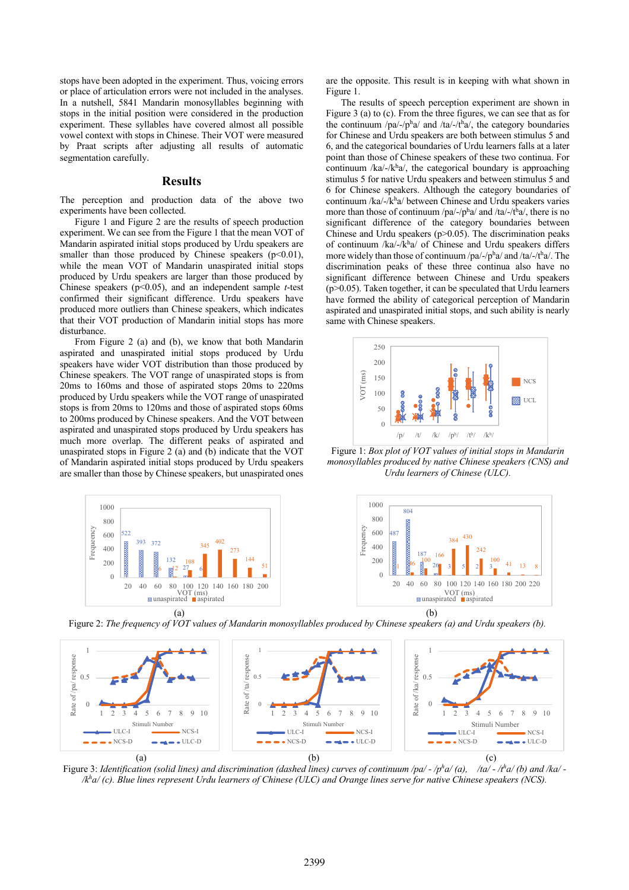stops have been adopted in the experiment. Thus, voicing errors or place of articulation errors were not included in the analyses. In a nutshell, 5841 Mandarin monosyllables beginning with stops in the initial position were considered in the production experiment. These syllables have covered almost all possible vowel context with stops in Chinese. Their VOT were measured by Praat scripts after adjusting all results of automatic segmentation carefully.

#### **Results**

The perception and production data of the above two experiments have been collected.

Figure 1 and Figure 2 are the results of speech production experiment. We can see from the Figure 1 that the mean VOT of Mandarin aspirated initial stops produced by Urdu speakers are smaller than those produced by Chinese speakers  $(p<0.01)$ , while the mean VOT of Mandarin unaspirated initial stops produced by Urdu speakers are larger than those produced by Chinese speakers (p<0.05), and an independent sample *t*-test confirmed their significant difference. Urdu speakers have produced more outliers than Chinese speakers, which indicates that their VOT production of Mandarin initial stops has more disturbance.

From Figure 2 (a) and (b), we know that both Mandarin aspirated and unaspirated initial stops produced by Urdu speakers have wider VOT distribution than those produced by Chinese speakers. The VOT range of unaspirated stops is from 20ms to 160ms and those of aspirated stops 20ms to 220ms produced by Urdu speakers while the VOT range of unaspirated stops is from 20ms to 120ms and those of aspirated stops 60ms to 200ms produced by Chinese speakers. And the VOT between aspirated and unaspirated stops produced by Urdu speakers has much more overlap. The different peaks of aspirated and unaspirated stops in Figure 2 (a) and (b) indicate that the VOT of Mandarin aspirated initial stops produced by Urdu speakers are smaller than those by Chinese speakers, but unaspirated ones

 $1000$  $800$ Frequeency Frequeency cho 600  $402$ 393 372 400 273 132 144 200 108  $\leq$ 6  $\sqrt{2}$   $\sqrt{27}$  $\frac{7}{2}$  6  $\Omega$ 20 40 60 80 100 120 140 160 180 200 VOT (ms)<br>unaspirated aspirated

are the opposite. This result is in keeping with what shown in Figure 1.

The results of speech perception experiment are shown in Figure 3 (a) to (c). From the three figures, we can see that as for the continuum /pa/-/pha/ and /ta/-/tha/, the category boundaries for Chinese and Urdu speakers are both between stimulus 5 and 6, and the categorical boundaries of Urdu learners falls at a later point than those of Chinese speakers of these two continua. For continuum /ka/-/k $h$ a/, the categorical boundary is approaching stimulus 5 for native Urdu speakers and between stimulus 5 and 6 for Chinese speakers. Although the category boundaries of continuum /ka/-/kha/ between Chinese and Urdu speakers varies more than those of continuum /pa/-/pha/ and /ta/-/tha/, there is no significant difference of the category boundaries between Chinese and Urdu speakers ( $p$  $>$ 0.05). The discrimination peaks of continuum /ka/-/kha/ of Chinese and Urdu speakers differs more widely than those of continuum /pa/-/ph a/ and /ta/-/th a/. The discrimination peaks of these three continua also have no significant difference between Chinese and Urdu speakers  $(p>0.05)$ . Taken together, it can be speculated that Urdu learners have formed the ability of categorical perception of Mandarin aspirated and unaspirated initial stops, and such ability is nearly same with Chinese speakers.



Figure 1: *Box plot of VOT values of initial stops in Mandarin monosyllables produced by native Chinese speakers (CNS) and Urdu learners of Chinese (ULC).*



Figure 2: *The frequency of VOT values of Mandarin monosyllables produced by Chinese speakers (a) and Urdu speakers (b).*



Figure 3: *Identification (solid lines) and discrimination (dashed lines) curves of continuum /pa/ - /ph a/ (a), /ta/ - /th a/ (b) and /ka/ - /kh a/ (c). Blue lines represent Urdu learners of Chinese (ULC) and Orange lines serve for native Chinese speakers (NCS).*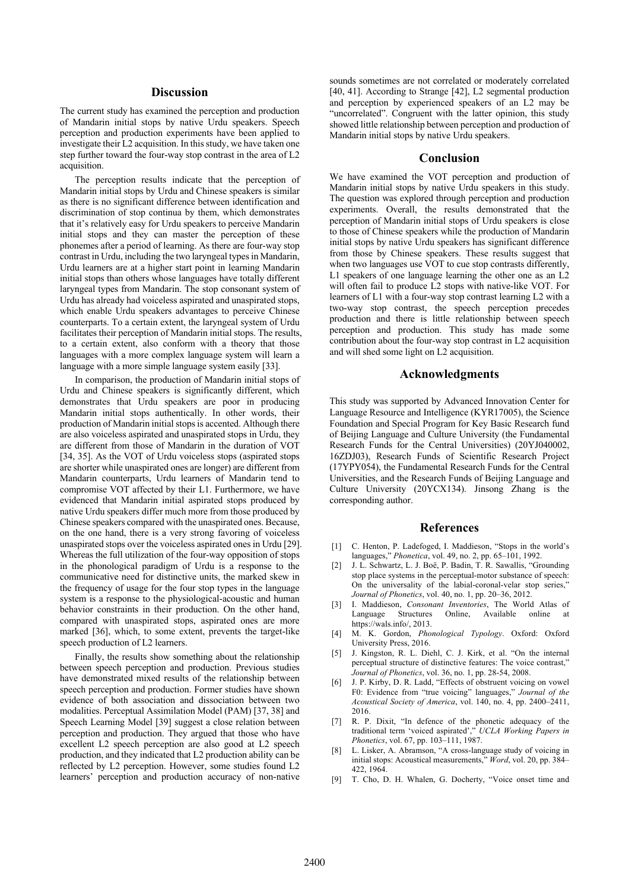## **Discussion**

The current study has examined the perception and production of Mandarin initial stops by native Urdu speakers. Speech perception and production experiments have been applied to investigate their L2 acquisition. In this study, we have taken one step further toward the four-way stop contrast in the area of L2 acquisition.

The perception results indicate that the perception of Mandarin initial stops by Urdu and Chinese speakers is similar as there is no significant difference between identification and discrimination of stop continua by them, which demonstrates that it's relatively easy for Urdu speakers to perceive Mandarin initial stops and they can master the perception of these phonemes after a period of learning. As there are four-way stop contrast in Urdu, including the two laryngeal types in Mandarin, Urdu learners are at a higher start point in learning Mandarin initial stops than others whose languages have totally different laryngeal types from Mandarin. The stop consonant system of Urdu has already had voiceless aspirated and unaspirated stops, which enable Urdu speakers advantages to perceive Chinese counterparts. To a certain extent, the laryngeal system of Urdu facilitates their perception of Mandarin initial stops. The results, to a certain extent, also conform with a theory that those languages with a more complex language system will learn a language with a more simple language system easily [33].

In comparison, the production of Mandarin initial stops of Urdu and Chinese speakers is significantly different, which demonstrates that Urdu speakers are poor in producing Mandarin initial stops authentically. In other words, their production of Mandarin initial stops is accented. Although there are also voiceless aspirated and unaspirated stops in Urdu, they are different from those of Mandarin in the duration of VOT [34, 35]. As the VOT of Urdu voiceless stops (aspirated stops are shorter while unaspirated ones are longer) are different from Mandarin counterparts, Urdu learners of Mandarin tend to compromise VOT affected by their L1. Furthermore, we have evidenced that Mandarin initial aspirated stops produced by native Urdu speakers differ much more from those produced by Chinese speakers compared with the unaspirated ones. Because, on the one hand, there is a very strong favoring of voiceless unaspirated stops over the voiceless aspirated ones in Urdu [29]. Whereas the full utilization of the four-way opposition of stops in the phonological paradigm of Urdu is a response to the communicative need for distinctive units, the marked skew in the frequency of usage for the four stop types in the language system is a response to the physiological-acoustic and human behavior constraints in their production. On the other hand, compared with unaspirated stops, aspirated ones are more marked [36], which, to some extent, prevents the target-like speech production of L2 learners.

Finally, the results show something about the relationship between speech perception and production. Previous studies have demonstrated mixed results of the relationship between speech perception and production. Former studies have shown evidence of both association and dissociation between two modalities. Perceptual Assimilation Model (PAM) [37, 38] and Speech Learning Model [39] suggest a close relation between perception and production. They argued that those who have excellent L2 speech perception are also good at L2 speech production, and they indicated that L2 production ability can be reflected by L2 perception. However, some studies found L2 learners' perception and production accuracy of non-native sounds sometimes are not correlated or moderately correlated [40, 41]. According to Strange [42], L2 segmental production and perception by experienced speakers of an L2 may be "uncorrelated". Congruent with the latter opinion, this study showed little relationship between perception and production of Mandarin initial stops by native Urdu speakers.

### **Conclusion**

We have examined the VOT perception and production of Mandarin initial stops by native Urdu speakers in this study. The question was explored through perception and production experiments. Overall, the results demonstrated that the perception of Mandarin initial stops of Urdu speakers is close to those of Chinese speakers while the production of Mandarin initial stops by native Urdu speakers has significant difference from those by Chinese speakers. These results suggest that when two languages use VOT to cue stop contrasts differently. L1 speakers of one language learning the other one as an L2 will often fail to produce L2 stops with native-like VOT. For learners of L1 with a four-way stop contrast learning L2 with a two-way stop contrast, the speech perception precedes production and there is little relationship between speech perception and production. This study has made some contribution about the four-way stop contrast in L2 acquisition and will shed some light on L2 acquisition.

## **Acknowledgments**

This study was supported by Advanced Innovation Center for Language Resource and Intelligence (KYR17005), the Science Foundation and Special Program for Key Basic Research fund of Beijing Language and Culture University (the Fundamental Research Funds for the Central Universities) (20YJ040002, 16ZDJ03), Research Funds of Scientific Research Project (17YPY054), the Fundamental Research Funds for the Central Universities, and the Research Funds of Beijing Language and Culture University (20YCX134). Jinsong Zhang is the corresponding author.

### **References**

- [1] C. Henton, P. Ladefoged, I. Maddieson, "Stops in the world's languages," *Phonetica*, vol. 49, no. 2, pp. 65–101, 1992.
- [2] J. L. Schwartz, L. J. Boë, P. Badin, T. R. Sawallis, "Grounding stop place systems in the perceptual-motor substance of speech: On the universality of the labial-coronal-velar stop series," *Journal of Phonetics*, vol. 40, no. 1, pp. 20–36, 2012.
- [3] I. Maddieson, *Consonant Inventories*, The World Atlas of Language Structures Online, Available online at https://wals.info/, 2013.
- [4] M. K. Gordon, *Phonological Typology*. Oxford: Oxford University Press, 2016.
- [5] J. Kingston, R. L. Diehl, C. J. Kirk, et al. "On the internal perceptual structure of distinctive features: The voice contrast," *Journal of Phonetics*, vol. 36, no. 1, pp. 28-54, 2008.
- [6] J. P. Kirby, D. R. Ladd, "Effects of obstruent voicing on vowel F0: Evidence from "true voicing" languages," *Journal of the Acoustical Society of America*, vol. 140, no. 4, pp. 2400–2411, 2016.
- [7] R. P. Dixit, "In defence of the phonetic adequacy of the traditional term 'voiced aspirated'," *UCLA Working Papers in Phonetics*, vol. 67, pp. 103–111, 1987.
- [8] L. Lisker, A. Abramson, "A cross-language study of voicing in initial stops: Acoustical measurements," *Word*, vol. 20, pp. 384– 422, 1964.
- [9] T. Cho, D. H. Whalen, G. Docherty, "Voice onset time and